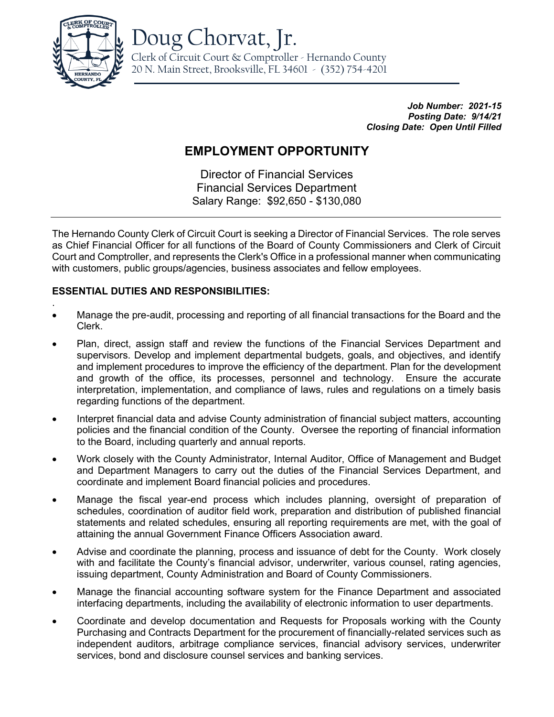

Doug Chorvat, Jr.

Clerk of Circuit Court & Comptroller - Hernando County 20 N. Main Street, Brooksville, FL 34601 - (352) 754-4201

> *Job Number: 2021-15 Posting Date: 9/14/21 Closing Date: Open Until Filled*

# **EMPLOYMENT OPPORTUNITY**

Director of Financial Services Financial Services Department Salary Range: \$92,650 - \$130,080

The Hernando County Clerk of Circuit Court is seeking a Director of Financial Services. The role serves as Chief Financial Officer for all functions of the Board of County Commissioners and Clerk of Circuit Court and Comptroller, and represents the Clerk's Office in a professional manner when communicating with customers, public groups/agencies, business associates and fellow employees.

# **ESSENTIAL DUTIES AND RESPONSIBILITIES:**

- . • Manage the pre-audit, processing and reporting of all financial transactions for the Board and the Clerk.
- Plan, direct, assign staff and review the functions of the Financial Services Department and supervisors. Develop and implement departmental budgets, goals, and objectives, and identify and implement procedures to improve the efficiency of the department. Plan for the development and growth of the office, its processes, personnel and technology. Ensure the accurate interpretation, implementation, and compliance of laws, rules and regulations on a timely basis regarding functions of the department.
- Interpret financial data and advise County administration of financial subject matters, accounting policies and the financial condition of the County. Oversee the reporting of financial information to the Board, including quarterly and annual reports.
- Work closely with the County Administrator, Internal Auditor, Office of Management and Budget and Department Managers to carry out the duties of the Financial Services Department, and coordinate and implement Board financial policies and procedures.
- Manage the fiscal year-end process which includes planning, oversight of preparation of schedules, coordination of auditor field work, preparation and distribution of published financial statements and related schedules, ensuring all reporting requirements are met, with the goal of attaining the annual Government Finance Officers Association award.
- Advise and coordinate the planning, process and issuance of debt for the County. Work closely with and facilitate the County's financial advisor, underwriter, various counsel, rating agencies, issuing department, County Administration and Board of County Commissioners.
- Manage the financial accounting software system for the Finance Department and associated interfacing departments, including the availability of electronic information to user departments.
- Coordinate and develop documentation and Requests for Proposals working with the County Purchasing and Contracts Department for the procurement of financially-related services such as independent auditors, arbitrage compliance services, financial advisory services, underwriter services, bond and disclosure counsel services and banking services.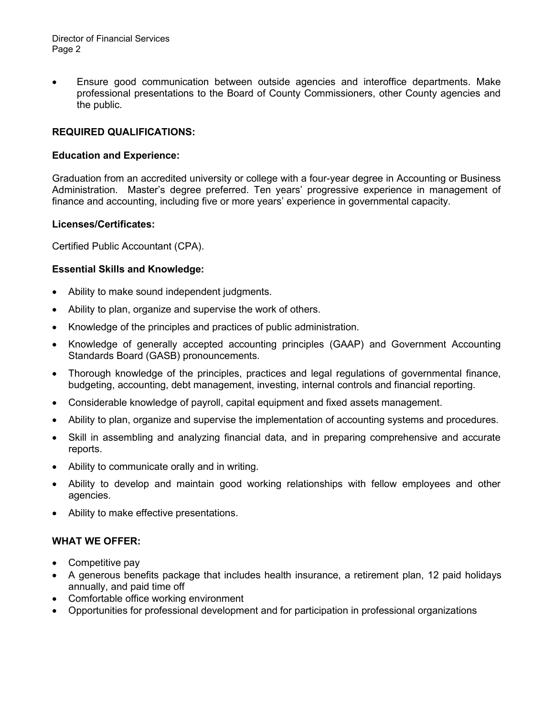Director of Financial Services Page 2

• Ensure good communication between outside agencies and interoffice departments. Make professional presentations to the Board of County Commissioners, other County agencies and the public.

## **REQUIRED QUALIFICATIONS:**

#### **Education and Experience:**

Graduation from an accredited university or college with a four-year degree in Accounting or Business Administration. Master's degree preferred. Ten years' progressive experience in management of finance and accounting, including five or more years' experience in governmental capacity.

#### **Licenses/Certificates:**

Certified Public Accountant (CPA).

#### **Essential Skills and Knowledge:**

- Ability to make sound independent judgments.
- Ability to plan, organize and supervise the work of others.
- Knowledge of the principles and practices of public administration.
- Knowledge of generally accepted accounting principles (GAAP) and Government Accounting Standards Board (GASB) pronouncements.
- Thorough knowledge of the principles, practices and legal regulations of governmental finance, budgeting, accounting, debt management, investing, internal controls and financial reporting.
- Considerable knowledge of payroll, capital equipment and fixed assets management.
- Ability to plan, organize and supervise the implementation of accounting systems and procedures.
- Skill in assembling and analyzing financial data, and in preparing comprehensive and accurate reports.
- Ability to communicate orally and in writing.
- Ability to develop and maintain good working relationships with fellow employees and other agencies.
- Ability to make effective presentations.

### **WHAT WE OFFER:**

- Competitive pay
- A generous benefits package that includes health insurance, a retirement plan, 12 paid holidays annually, and paid time off
- Comfortable office working environment
- Opportunities for professional development and for participation in professional organizations